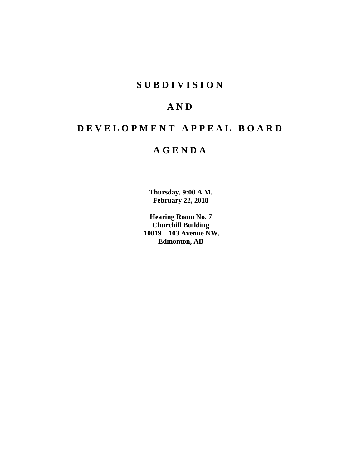## **S U B D I V I S I O N**

# **A N D**

# **D E V E L O P M E N T A P P E A L B O A R D**

# **A G E N D A**

**Thursday, 9:00 A.M. February 22, 2018**

**Hearing Room No. 7 Churchill Building 10019 – 103 Avenue NW, Edmonton, AB**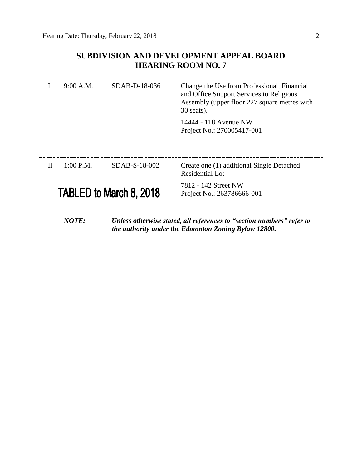### **SUBDIVISION AND DEVELOPMENT APPEAL BOARD HEARING ROOM NO. 7**

|                                | 9:00 A.M.                                                           | $SDAB-D-18-036$ | Change the Use from Professional, Financial<br>and Office Support Services to Religious<br>Assembly (upper floor 227 square metres with<br>$30$ seats).                                                                                                                                                     |
|--------------------------------|---------------------------------------------------------------------|-----------------|-------------------------------------------------------------------------------------------------------------------------------------------------------------------------------------------------------------------------------------------------------------------------------------------------------------|
|                                |                                                                     |                 | 14444 - 118 Avenue NW<br>Project No.: 270005417-001                                                                                                                                                                                                                                                         |
|                                |                                                                     |                 |                                                                                                                                                                                                                                                                                                             |
| H                              | $1:00$ P.M.                                                         | SDAB-S-18-002   | Create one (1) additional Single Detached<br>Residential Lot                                                                                                                                                                                                                                                |
| <b>TABLED to March 8, 2018</b> |                                                                     |                 | 7812 - 142 Street NW<br>Project No.: 263786666-001                                                                                                                                                                                                                                                          |
|                                | $\boldsymbol{M}\boldsymbol{\Omega}\boldsymbol{T}\boldsymbol{\Pi}$ . |                 | $\mathbf{I}$ , $\mathbf{I}$ , $\mathbf{I}$ , $\mathbf{I}$ , $\mathbf{I}$ , $\mathbf{I}$ , $\mathbf{I}$ , $\mathbf{I}$ , $\mathbf{I}$ , $\mathbf{I}$ , $\mathbf{I}$ , $\mathbf{I}$ , $\mathbf{I}$ , $\mathbf{I}$ , $\mathbf{I}$ , $\mathbf{I}$ , $\mathbf{I}$ , $\mathbf{I}$ , $\mathbf{I}$ , $\mathbf{I}$ , |

*NOTE: Unless otherwise stated, all references to "section numbers" refer to the authority under the Edmonton Zoning Bylaw 12800.*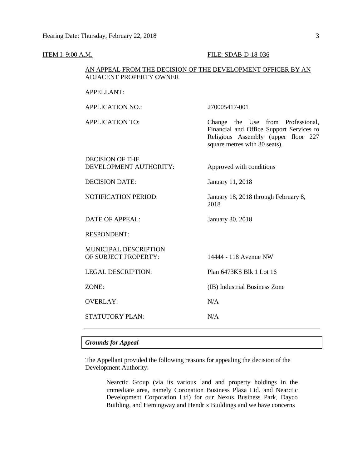**ITEM I: 9:00 A.M. FILE: SDAB-D-18-036** 

| AN APPEAL FROM THE DECISION OF THE DEVELOPMENT OFFICER BY AN<br>ADJACENT PROPERTY OWNER |                                                                                                                                                       |  |  |  |
|-----------------------------------------------------------------------------------------|-------------------------------------------------------------------------------------------------------------------------------------------------------|--|--|--|
| <b>APPELLANT:</b>                                                                       |                                                                                                                                                       |  |  |  |
| <b>APPLICATION NO.:</b>                                                                 | 270005417-001                                                                                                                                         |  |  |  |
| <b>APPLICATION TO:</b>                                                                  | Change the Use from Professional,<br>Financial and Office Support Services to<br>Religious Assembly (upper floor 227<br>square metres with 30 seats). |  |  |  |
| <b>DECISION OF THE</b><br>DEVELOPMENT AUTHORITY:                                        | Approved with conditions                                                                                                                              |  |  |  |
| <b>DECISION DATE:</b>                                                                   | January 11, 2018                                                                                                                                      |  |  |  |
| <b>NOTIFICATION PERIOD:</b>                                                             | January 18, 2018 through February 8,<br>2018                                                                                                          |  |  |  |
| <b>DATE OF APPEAL:</b>                                                                  | January 30, 2018                                                                                                                                      |  |  |  |
| <b>RESPONDENT:</b>                                                                      |                                                                                                                                                       |  |  |  |
| MUNICIPAL DESCRIPTION<br>OF SUBJECT PROPERTY:                                           | 14444 - 118 Avenue NW                                                                                                                                 |  |  |  |
| <b>LEGAL DESCRIPTION:</b>                                                               | Plan 6473KS Blk 1 Lot 16                                                                                                                              |  |  |  |
| ZONE:                                                                                   | (IB) Industrial Business Zone                                                                                                                         |  |  |  |
| <b>OVERLAY:</b>                                                                         | N/A                                                                                                                                                   |  |  |  |
| <b>STATUTORY PLAN:</b>                                                                  | N/A                                                                                                                                                   |  |  |  |

### *Grounds for Appeal*

The Appellant provided the following reasons for appealing the decision of the Development Authority:

> Nearctic Group (via its various land and property holdings in the immediate area, namely Coronation Business Plaza Ltd. and Nearctic Development Corporation Ltd) for our Nexus Business Park, Dayco Building, and Hemingway and Hendrix Buildings and we have concerns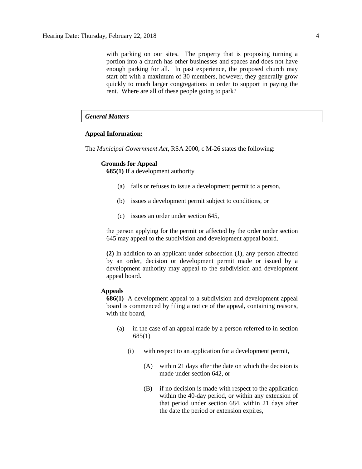with parking on our sites. The property that is proposing turning a portion into a church has other businesses and spaces and does not have enough parking for all. In past experience, the proposed church may start off with a maximum of 30 members, however, they generally grow quickly to much larger congregations in order to support in paying the rent. Where are all of these people going to park?

#### *General Matters*

#### **Appeal Information:**

The *Municipal Government Act*, RSA 2000, c M-26 states the following:

#### **Grounds for Appeal**

**685(1)** If a development authority

- (a) fails or refuses to issue a development permit to a person,
- (b) issues a development permit subject to conditions, or
- (c) issues an order under section 645,

the person applying for the permit or affected by the order under section 645 may appeal to the subdivision and development appeal board.

**(2)** In addition to an applicant under subsection (1), any person affected by an order, decision or development permit made or issued by a development authority may appeal to the subdivision and development appeal board.

#### **Appeals**

**686(1)** A development appeal to a subdivision and development appeal board is commenced by filing a notice of the appeal, containing reasons, with the board,

- (a) in the case of an appeal made by a person referred to in section 685(1)
	- (i) with respect to an application for a development permit,
		- (A) within 21 days after the date on which the decision is made under section 642, or
		- (B) if no decision is made with respect to the application within the 40-day period, or within any extension of that period under section 684, within 21 days after the date the period or extension expires,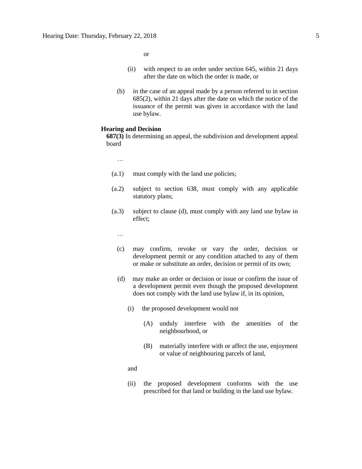or

- (ii) with respect to an order under section 645, within 21 days after the date on which the order is made, or
- (b) in the case of an appeal made by a person referred to in section 685(2), within 21 days after the date on which the notice of the issuance of the permit was given in accordance with the land use bylaw.

#### **Hearing and Decision**

**687(3)** In determining an appeal, the subdivision and development appeal board

…

- (a.1) must comply with the land use policies;
- (a.2) subject to section 638, must comply with any applicable statutory plans;
- (a.3) subject to clause (d), must comply with any land use bylaw in effect;
	- …
	- (c) may confirm, revoke or vary the order, decision or development permit or any condition attached to any of them or make or substitute an order, decision or permit of its own;
	- (d) may make an order or decision or issue or confirm the issue of a development permit even though the proposed development does not comply with the land use bylaw if, in its opinion,
		- (i) the proposed development would not
			- (A) unduly interfere with the amenities of the neighbourhood, or
			- (B) materially interfere with or affect the use, enjoyment or value of neighbouring parcels of land,
		- and
		- (ii) the proposed development conforms with the use prescribed for that land or building in the land use bylaw.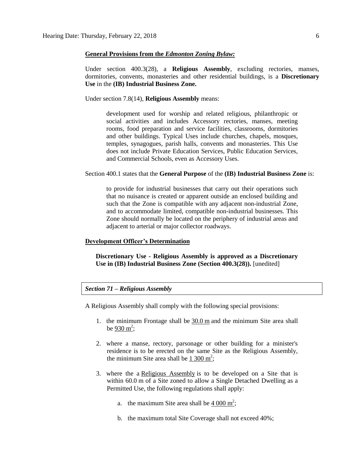#### **General Provisions from the** *Edmonton Zoning Bylaw:*

Under section 400.3(28), a **Religious Assembly**, excluding rectories, manses, dormitories, convents, monasteries and other residential buildings, is a **Discretionary Use** in the **(IB) Industrial Business Zone.**

Under section 7.8(14), **Religious Assembly** means:

development used for worship and related religious, philanthropic or social activities and includes Accessory rectories, manses, meeting rooms, food preparation and service facilities, classrooms, dormitories and other buildings. Typical Uses include churches, chapels, mosques, temples, synagogues, parish halls, convents and monasteries. This Use does not include Private Education Services, Public Education Services, and Commercial Schools, even as Accessory Uses.

Section 400.1 states that the **General Purpose** of the **(IB) Industrial Business Zone** is:

to provide for industrial businesses that carry out their operations such that no nuisance is created or apparent outside an enclosed building and such that the Zone is compatible with any adjacent non-industrial Zone, and to accommodate limited, compatible non-industrial businesses. This Zone should normally be located on the periphery of industrial areas and adjacent to arterial or major collector roadways.

### **Development Officer's Determination**

**Discretionary Use - Religious Assembly is approved as a Discretionary Use in (IB) Industrial Business Zone (Section 400.3(28)).** [unedited]

#### *Section 71 – Religious Assembly*

A Religious Assembly shall comply with the following special provisions:

- 1. the minimum Frontage shall be [30.0](javascript:void(0);) m and the minimum Site area shall be  $930 \text{ m}^2$  $930 \text{ m}^2$ ;
- 2. where a manse, rectory, parsonage or other building for a minister's residence is to be erected on the same Site as the Religious Assembly, the minimum Site area shall be  $1\,300 \text{ m}^2$  $1\,300 \text{ m}^2$  $1\,300 \text{ m}^2$ ;
- 3. where the a [Religious Assembly](javascript:void(0);) is to be developed on a Site that is within 60.0 m of a Site zoned to allow a Single Detached Dwelling as a Permitted Use, the following regulations shall apply:
	- a. the maximum Site area shall be  $4000 \text{ m}^2$  $4000 \text{ m}^2$  $4000 \text{ m}^2$ ;
	- b. the maximum total Site Coverage shall not exceed 40%;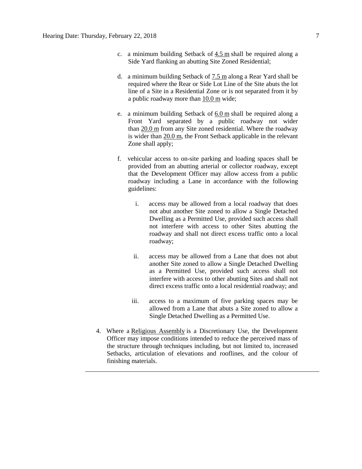- c. a minimum building Setback of  $4.5$  m shall be required along a Side Yard flanking an abutting Site Zoned Residential;
- d. a minimum building Setback of [7.5](javascript:void(0);) m along a Rear Yard shall be required where the Rear or Side Lot Line of the Site abuts the lot line of a Site in a Residential Zone or is not separated from it by a public roadway more than [10.0](javascript:void(0);) m wide;
- e. a minimum building Setback of  $6.0$  m shall be required along a Front Yard separated by a public roadway not wider than [20.0](javascript:void(0);) m from any Site zoned residential. Where the roadway is wider than [20.0](javascript:void(0);) m, the Front Setback applicable in the relevant Zone shall apply;
- f. vehicular access to on-site parking and loading spaces shall be provided from an abutting arterial or collector roadway, except that the Development Officer may allow access from a public roadway including a Lane in accordance with the following guidelines:
	- i. access may be allowed from a local roadway that does not abut another Site zoned to allow a Single Detached Dwelling as a Permitted Use, provided such access shall not interfere with access to other Sites abutting the roadway and shall not direct excess traffic onto a local roadway;
	- ii. access may be allowed from a Lane that does not abut another Site zoned to allow a Single Detached Dwelling as a Permitted Use, provided such access shall not interfere with access to other abutting Sites and shall not direct excess traffic onto a local residential roadway; and
	- iii. access to a maximum of five parking spaces may be allowed from a Lane that abuts a Site zoned to allow a Single Detached Dwelling as a Permitted Use.
- 4. Where a [Religious Assembly](javascript:void(0);) is a Discretionary Use, the Development Officer may impose conditions intended to reduce the perceived mass of the structure through techniques including, but not limited to, increased Setbacks, articulation of elevations and rooflines, and the colour of finishing materials.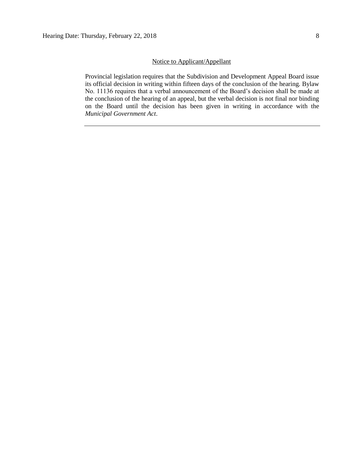### Notice to Applicant/Appellant

Provincial legislation requires that the Subdivision and Development Appeal Board issue its official decision in writing within fifteen days of the conclusion of the hearing. Bylaw No. 11136 requires that a verbal announcement of the Board's decision shall be made at the conclusion of the hearing of an appeal, but the verbal decision is not final nor binding on the Board until the decision has been given in writing in accordance with the *Municipal Government Act*.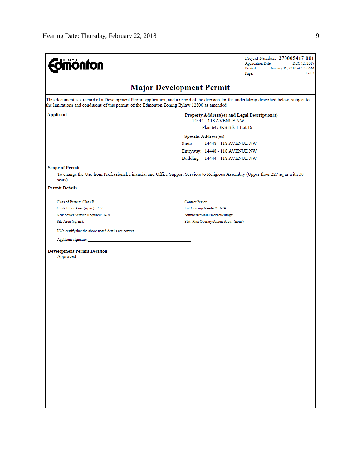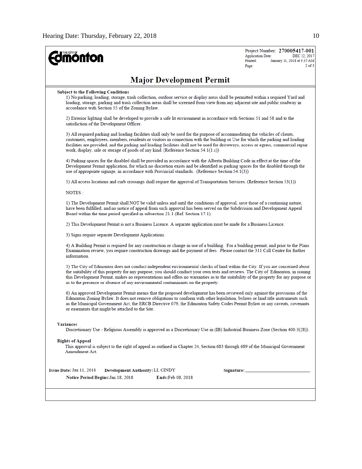| <b>nonton</b>                                                                                                                                                                                                                                                                                                                                                                                                                                                                                 | Project Number: 270005417-001<br><b>Application Date:</b><br>DEC 12, 2017<br>Printed:<br>January 11, 2018 at 9:35 AM<br>$2$ of $3$<br>Page: |
|-----------------------------------------------------------------------------------------------------------------------------------------------------------------------------------------------------------------------------------------------------------------------------------------------------------------------------------------------------------------------------------------------------------------------------------------------------------------------------------------------|---------------------------------------------------------------------------------------------------------------------------------------------|
| <b>Major Development Permit</b>                                                                                                                                                                                                                                                                                                                                                                                                                                                               |                                                                                                                                             |
| <b>Subject to the Following Conditions</b><br>1) No parking, loading, storage, trash collection, outdoor service or display areas shall be permitted within a required Yard and<br>loading, storage, parking and trash collection areas shall be screened from view from any adjacent site and public roadway in<br>accordance with Section 55 of the Zoning Bylaw.                                                                                                                           |                                                                                                                                             |
| 2) Exterior lighting shall be developed to provide a safe lit environment in accordance with Sections 51 and 58 and to the<br>satisfaction of the Development Officer.                                                                                                                                                                                                                                                                                                                        |                                                                                                                                             |
| 3) All required parking and loading facilities shall only be used for the purpose of accommodating the vehicles of clients,<br>customers, employees, members, residents or visitors in connection with the building or Use for which the parking and loading<br>facilities are provided, and the parking and loading facilities shall not be used for driveways, access or egress, commercial repair<br>work, display, sale or storage of goods of any kind. (Reference Section $54.1(1.c)$ ) |                                                                                                                                             |
| 4) Parking spaces for the disabled shall be provided in accordance with the Alberta Building Code in effect at the time of the<br>Development Permit application, for which no discretion exists and be identified as parking spaces for the disabled through the<br>use of appropriate signage, in accordance with Provincial standards. (Reference Section 54.1(3))                                                                                                                         |                                                                                                                                             |
| 5) All access locations and curb crossings shall require the approval of Transportation Services. (Reference Section 53(1))                                                                                                                                                                                                                                                                                                                                                                   |                                                                                                                                             |
| NOTES :                                                                                                                                                                                                                                                                                                                                                                                                                                                                                       |                                                                                                                                             |
| 1) The Development Permit shall NOT be valid unless and until the conditions of approval, save those of a continuing nature,<br>have been fulfilled; and no notice of appeal from such approval has been served on the Subdivision and Development Appeal<br>Board within the time period specified in subsection 21.1 (Ref. Section 17.1).                                                                                                                                                   |                                                                                                                                             |
| 2) This Development Permit is not a Business Licence. A separate application must be made for a Business Licence.                                                                                                                                                                                                                                                                                                                                                                             |                                                                                                                                             |
| 3) Signs require separate Development Applications.                                                                                                                                                                                                                                                                                                                                                                                                                                           |                                                                                                                                             |
| 4) A Building Permit is required for any construction or change in use of a building. For a building permit, and prior to the Plans<br>Examination review, you require construction drawings and the payment of fees. Please contact the 311 Call Centre for further<br>information.                                                                                                                                                                                                          |                                                                                                                                             |
| 5) The City of Edmonton does not conduct independent environmental checks of land within the City. If you are concerned about<br>the suitability of this property for any purpose, you should conduct your own tests and reviews. The City of Edmonton, in issuing<br>this Development Permit, makes no representations and offers no warranties as to the suitability of the property for any purpose or<br>as to the presence or absence of any environmental contaminants on the property. |                                                                                                                                             |
| 6) An approved Development Permit means that the proposed development has been reviewed only against the provisions of the<br>Edmonton Zoning Bylaw. It does not remove obligations to conform with other legislation, bylaws or land title instruments such<br>as the Municipal Government Act, the ERCB Directive 079, the Edmonton Safety Codes Permit Bylaw or any caveats, covenants<br>or easements that might be attached to the Site.                                                 |                                                                                                                                             |
| <b>Variances</b><br>Discretionary Use - Religious Assembly is approved as a Discretionary Use in (IB) Industrial Business Zone (Section 400.3(28)).                                                                                                                                                                                                                                                                                                                                           |                                                                                                                                             |
| <b>Rights of Appeal</b><br>This approval is subject to the right of appeal as outlined in Chapter 24, Section 683 through 689 of the Municipal Government<br>Amendment Act.                                                                                                                                                                                                                                                                                                                   |                                                                                                                                             |
| Issue Date: Jan 11, 2018<br>Development Authority: LI, CINDY<br>Notice Period Begins: Jan 18, 2018<br><b>Ends:Feb 08, 2018</b>                                                                                                                                                                                                                                                                                                                                                                |                                                                                                                                             |
|                                                                                                                                                                                                                                                                                                                                                                                                                                                                                               |                                                                                                                                             |
|                                                                                                                                                                                                                                                                                                                                                                                                                                                                                               |                                                                                                                                             |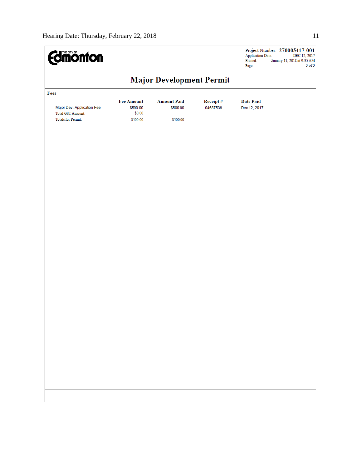